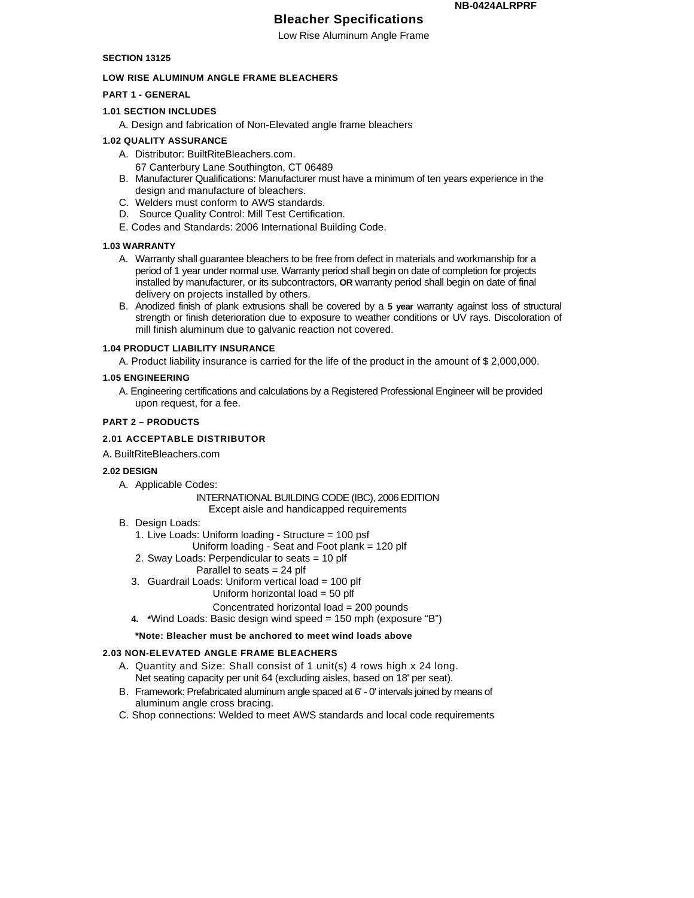# **Bleacher Specifications**

Low Rise Aluminum Angle Frame

### **SECTION 13125**

#### **LOW RISE ALUMINUM ANGLE FRAME BLEACHERS**

### **PART 1 - GENERAL**

#### **1.01 SECTION INCLUDES**

A. Design and fabrication of Non-Elevated angle frame bleachers

#### **1.02 QUALITY ASSURANCE**

- A. Distributor: BuiltRiteBleachers.com.
- 67 Canterbury Lane Southington, CT 06489
- B. Manufacturer Qualifications: Manufacturer must have a minimum of ten years experience in the design and manufacture of bleachers.
- C. Welders must conform to AWS standards.
- D. Source Quality Control: Mill Test Certification.
- E. Codes and Standards: 2006 International Building Code.

#### **1.03 WARRANTY**

- A. Warranty shall guarantee bleachers to be free from defect in materials and workmanship for a period of 1 year under normal use. Warranty period shall begin on date of completion for projects installed by manufacturer, or its subcontractors, **OR** warranty period shall begin on date of final delivery on projects installed by others.
- B. Anodized finish of plank extrusions shall be covered by a **5 year** warranty against loss of structural strength or finish deterioration due to exposure to weather conditions or UV rays. Discoloration of mill finish aluminum due to galvanic reaction not covered.

### **1.04 PRODUCT LIABILITY INSURANCE**

A. Product liability insurance is carried for the life of the product in the amount of \$ 2,000,000.

#### **1.05 ENGINEERING**

A. Engineering certifications and calculations by a Registered Professional Engineer will be provided upon request, for a fee.

#### **PART 2 – PRODUCTS**

# **2.01 ACCEPTABLE DISTRIBUTOR**

A. BuiltRiteBleachers.com

#### **2.02 DESIGN**

A. Applicable Codes:

#### INTERNATIONAL BUILDING CODE (IBC), 2006 EDITION Except aisle and handicapped requirements

- B. Design Loads:
	- 1. Live Loads: Uniform loading Structure = 100 psf
		- Uniform loading Seat and Foot plank = 120 plf
	- 2. Sway Loads: Perpendicular to seats = 10 plf
		- Parallel to seats = 24 plf
	- 3. Guardrail Loads: Uniform vertical load = 100 plf
		- Uniform horizontal load = 50 plf

# Concentrated horizontal load = 200 pounds

**4. \***Wind Loads: Basic design wind speed = 150 mph (exposure "B")

### **\*Note: Bleacher must be anchored to meet wind loads above**

# **2.03 NON-ELEVATED ANGLE FRAME BLEACHERS**

- A. Quantity and Size: Shall consist of 1 unit(s) 4 rows high x 24 long. Net seating capacity per unit 64 (excluding aisles, based on 18' per seat).
- B. Framework: Prefabricated aluminum angle spaced at 6' 0' intervals joined by means of aluminum angle cross bracing.
- C. Shop connections: Welded to meet AWS standards and local code requirements